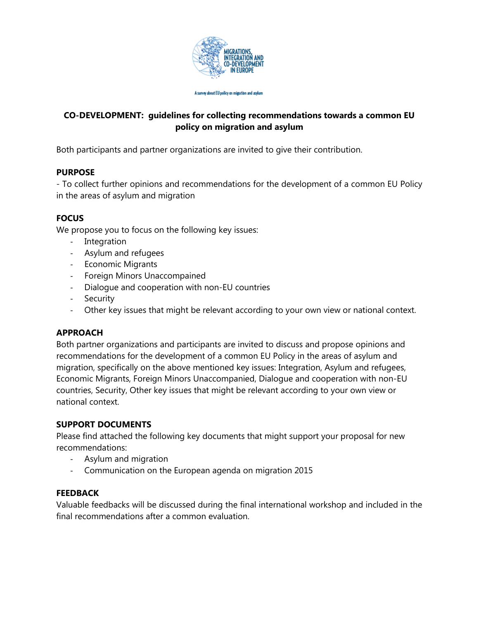

#### A survey about EU policy on migration and asylum

# **CO-DEVELOPMENT: guidelines for collecting recommendations towards a common EU policy on migration and asylum**

Both participants and partner organizations are invited to give their contribution.

## **PURPOSE**

- To collect further opinions and recommendations for the development of a common EU Policy in the areas of asylum and migration

# **FOCUS**

We propose you to focus on the following key issues:

- Integration
- Asylum and refugees
- Economic Migrants
- Foreign Minors Unaccompained
- Dialogue and cooperation with non-EU countries
- Security
- Other key issues that might be relevant according to your own view or national context.

# **APPROACH**

Both partner organizations and participants are invited to discuss and propose opinions and recommendations for the development of a common EU Policy in the areas of asylum and migration, specifically on the above mentioned key issues: Integration, Asylum and refugees, Economic Migrants, Foreign Minors Unaccompanied, Dialogue and cooperation with non-EU countries, Security, Other key issues that might be relevant according to your own view or national context.

## **SUPPORT DOCUMENTS**

Please find attached the following key documents that might support your proposal for new recommendations:

- Asylum and migration
- Communication on the European agenda on migration 2015

## **FEEDBACK**

Valuable feedbacks will be discussed during the final international workshop and included in the final recommendations after a common evaluation.